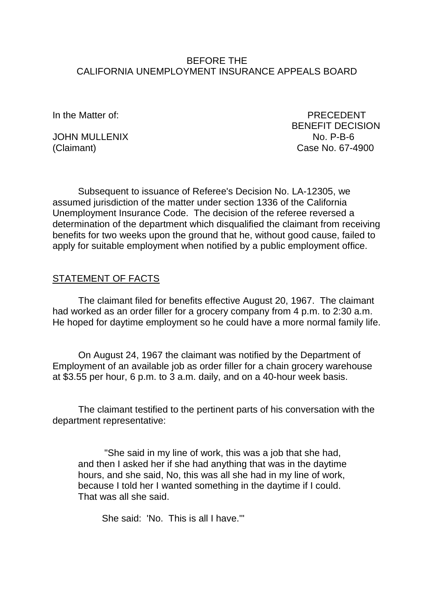### BEFORE THE CALIFORNIA UNEMPLOYMENT INSURANCE APPEALS BOARD

JOHN MULLENIX<br>(Claimant)

In the Matter of: PRECEDENT BENEFIT DECISION<br>No P-B-6 Case No. 67-4900

Subsequent to issuance of Referee's Decision No. LA-12305, we assumed jurisdiction of the matter under section 1336 of the California Unemployment Insurance Code. The decision of the referee reversed a determination of the department which disqualified the claimant from receiving benefits for two weeks upon the ground that he, without good cause, failed to apply for suitable employment when notified by a public employment office.

## STATEMENT OF FACTS

The claimant filed for benefits effective August 20, 1967. The claimant had worked as an order filler for a grocery company from 4 p.m. to 2:30 a.m. He hoped for daytime employment so he could have a more normal family life.

On August 24, 1967 the claimant was notified by the Department of Employment of an available job as order filler for a chain grocery warehouse at \$3.55 per hour, 6 p.m. to 3 a.m. daily, and on a 40-hour week basis.

The claimant testified to the pertinent parts of his conversation with the department representative:

"She said in my line of work, this was a job that she had, and then I asked her if she had anything that was in the daytime hours, and she said, No, this was all she had in my line of work, because I told her I wanted something in the daytime if I could. That was all she said.

She said: 'No. This is all I have.'"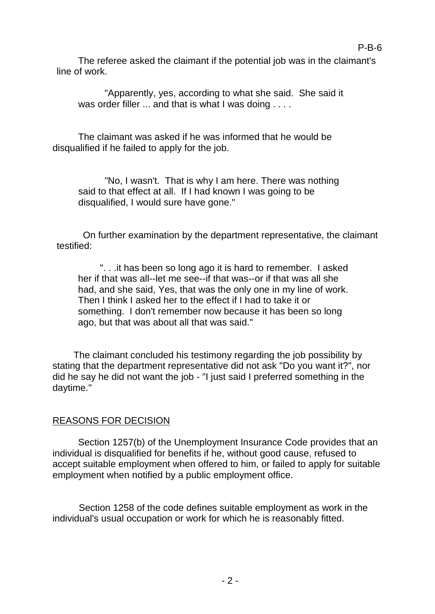The referee asked the claimant if the potential job was in the claimant's line of work.

P-B-6

"Apparently, yes, according to what she said. She said it was order filler ... and that is what I was doing . . . .

The claimant was asked if he was informed that he would be disqualified if he failed to apply for the job.

"No, I wasn't. That is why I am here. There was nothing said to that effect at all. If I had known I was going to be disqualified, I would sure have gone."

On further examination by the department representative, the claimant testified:

". . .it has been so long ago it is hard to remember. I asked her if that was all--let me see--if that was--or if that was all she had, and she said, Yes, that was the only one in my line of work. Then I think I asked her to the effect if I had to take it or something. I don't remember now because it has been so long ago, but that was about all that was said."

The claimant concluded his testimony regarding the job possibility by stating that the department representative did not ask "Do you want it?", nor did he say he did not want the job - "I just said I preferred something in the daytime."

## REASONS FOR DECISION

Section 1257(b) of the Unemployment Insurance Code provides that an individual is disqualified for benefits if he, without good cause, refused to accept suitable employment when offered to him, or failed to apply for suitable employment when notified by a public employment office.

Section 1258 of the code defines suitable employment as work in the individual's usual occupation or work for which he is reasonably fitted.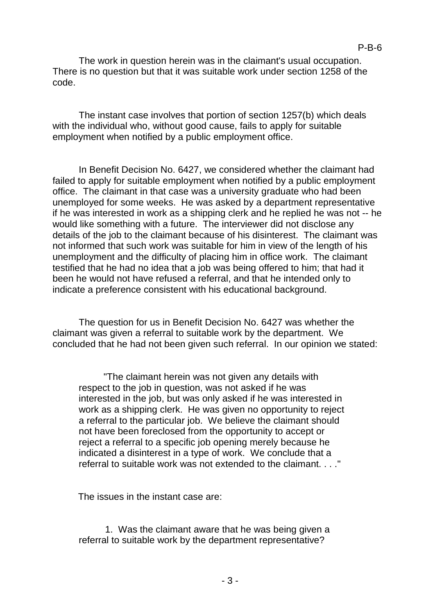The work in question herein was in the claimant's usual occupation. There is no question but that it was suitable work under section 1258 of the code.

The instant case involves that portion of section 1257(b) which deals with the individual who, without good cause, fails to apply for suitable employment when notified by a public employment office.

In Benefit Decision No. 6427, we considered whether the claimant had failed to apply for suitable employment when notified by a public employment office. The claimant in that case was a university graduate who had been unemployed for some weeks. He was asked by a department representative if he was interested in work as a shipping clerk and he replied he was not -- he would like something with a future. The interviewer did not disclose any details of the job to the claimant because of his disinterest. The claimant was not informed that such work was suitable for him in view of the length of his unemployment and the difficulty of placing him in office work. The claimant testified that he had no idea that a job was being offered to him; that had it been he would not have refused a referral, and that he intended only to indicate a preference consistent with his educational background.

The question for us in Benefit Decision No. 6427 was whether the claimant was given a referral to suitable work by the department. We concluded that he had not been given such referral. In our opinion we stated:

"The claimant herein was not given any details with respect to the job in question, was not asked if he was interested in the job, but was only asked if he was interested in work as a shipping clerk. He was given no opportunity to reject a referral to the particular job. We believe the claimant should not have been foreclosed from the opportunity to accept or reject a referral to a specific job opening merely because he indicated a disinterest in a type of work. We conclude that a referral to suitable work was not extended to the claimant. . . ."

The issues in the instant case are:

1. Was the claimant aware that he was being given a referral to suitable work by the department representative?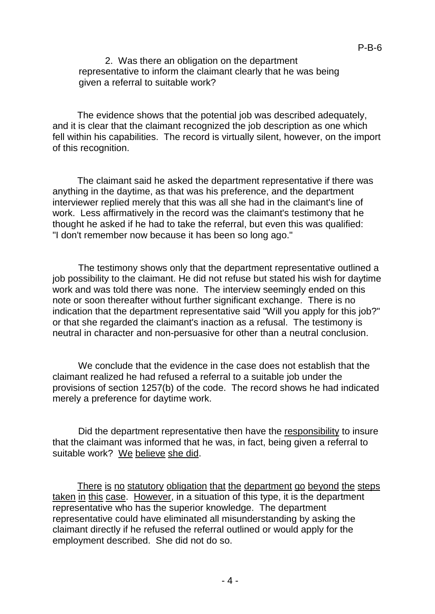2. Was there an obligation on the department representative to inform the claimant clearly that he was being given a referral to suitable work?

The evidence shows that the potential job was described adequately, and it is clear that the claimant recognized the job description as one which fell within his capabilities. The record is virtually silent, however, on the import of this recognition.

The claimant said he asked the department representative if there was anything in the daytime, as that was his preference, and the department interviewer replied merely that this was all she had in the claimant's line of work. Less affirmatively in the record was the claimant's testimony that he thought he asked if he had to take the referral, but even this was qualified: "I don't remember now because it has been so long ago."

The testimony shows only that the department representative outlined a job possibility to the claimant. He did not refuse but stated his wish for daytime work and was told there was none. The interview seemingly ended on this note or soon thereafter without further significant exchange. There is no indication that the department representative said "Will you apply for this job?" or that she regarded the claimant's inaction as a refusal. The testimony is neutral in character and non-persuasive for other than a neutral conclusion.

We conclude that the evidence in the case does not establish that the claimant realized he had refused a referral to a suitable job under the provisions of section 1257(b) of the code. The record shows he had indicated merely a preference for daytime work.

Did the department representative then have the responsibility to insure that the claimant was informed that he was, in fact, being given a referral to suitable work? We believe she did.

There is no statutory obligation that the department go beyond the steps taken in this case. However, in a situation of this type, it is the department representative who has the superior knowledge. The department representative could have eliminated all misunderstanding by asking the claimant directly if he refused the referral outlined or would apply for the employment described. She did not do so.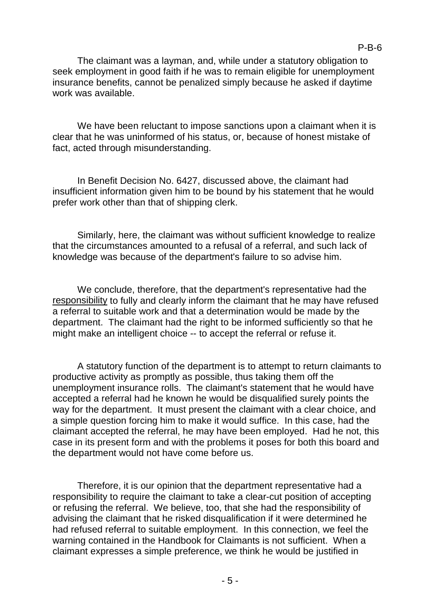The claimant was a layman, and, while under a statutory obligation to seek employment in good faith if he was to remain eligible for unemployment insurance benefits, cannot be penalized simply because he asked if daytime work was available.

We have been reluctant to impose sanctions upon a claimant when it is clear that he was uninformed of his status, or, because of honest mistake of fact, acted through misunderstanding.

In Benefit Decision No. 6427, discussed above, the claimant had insufficient information given him to be bound by his statement that he would prefer work other than that of shipping clerk.

Similarly, here, the claimant was without sufficient knowledge to realize that the circumstances amounted to a refusal of a referral, and such lack of knowledge was because of the department's failure to so advise him.

We conclude, therefore, that the department's representative had the responsibility to fully and clearly inform the claimant that he may have refused a referral to suitable work and that a determination would be made by the department. The claimant had the right to be informed sufficiently so that he might make an intelligent choice -- to accept the referral or refuse it.

A statutory function of the department is to attempt to return claimants to productive activity as promptly as possible, thus taking them off the unemployment insurance rolls. The claimant's statement that he would have accepted a referral had he known he would be disqualified surely points the way for the department. It must present the claimant with a clear choice, and a simple question forcing him to make it would suffice. In this case, had the claimant accepted the referral, he may have been employed. Had he not, this case in its present form and with the problems it poses for both this board and the department would not have come before us.

Therefore, it is our opinion that the department representative had a responsibility to require the claimant to take a clear-cut position of accepting or refusing the referral. We believe, too, that she had the responsibility of advising the claimant that he risked disqualification if it were determined he had refused referral to suitable employment. In this connection, we feel the warning contained in the Handbook for Claimants is not sufficient. When a claimant expresses a simple preference, we think he would be justified in